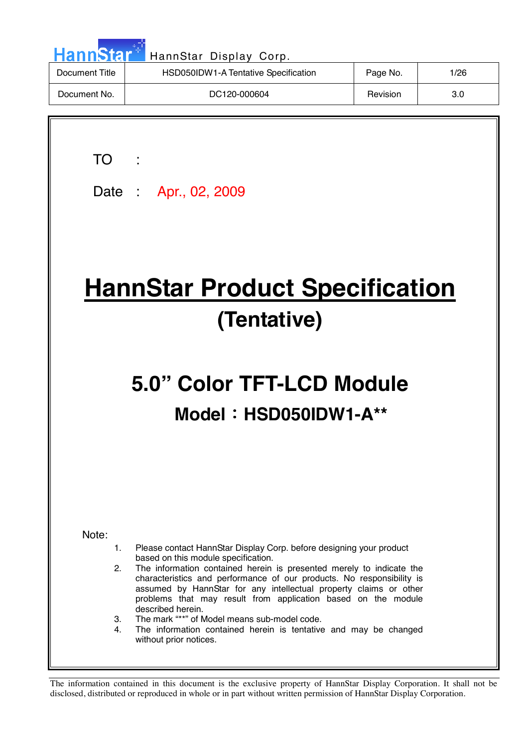| <b>HannStar</b> | HannStar Display Corp.               |          |      |
|-----------------|--------------------------------------|----------|------|
| Document Title  | HSD050IDW1-A Tentative Specification | Page No. | 1/26 |
| Document No.    | DC120-000604                         | Revision | 3.0  |
|                 |                                      |          |      |

TO :

Date : Apr., 02, 2009

# **HannStar Product Specification (Tentative)**

# **5.0" Color TFT-LCD Module Model**!**HSD050IDW1-A\*\***

Note:

- 1. Please contact HannStar Display Corp. before designing your product based on this module specification.
- 2. The information contained herein is presented merely to indicate the characteristics and performance of our products. No responsibility is assumed by HannStar for any intellectual property claims or other problems that may result from application based on the module described herein.
- 3. The mark "\*\*" of Model means sub-model code.
- 4. The information contained herein is tentative and may be changed without prior notices.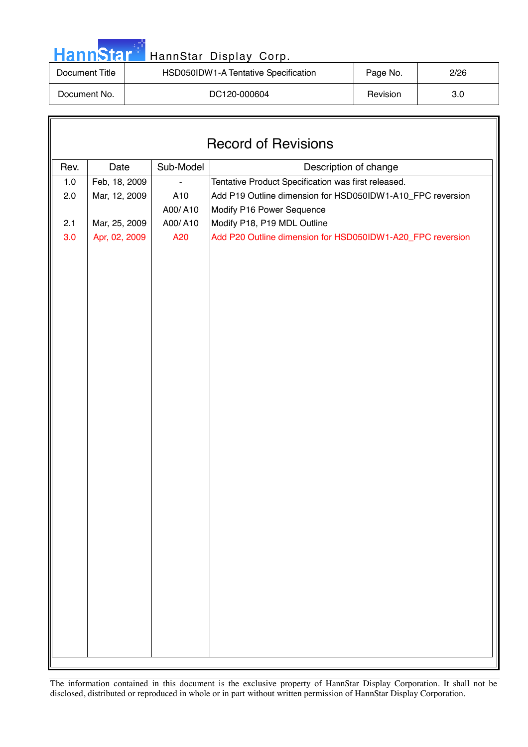| <b>HannStar</b> *<br>HannStar Display Corp. |                                      |          |      |  |  |
|---------------------------------------------|--------------------------------------|----------|------|--|--|
| Document Title                              | HSD050IDW1-A Tentative Specification | Page No. | 2/26 |  |  |
| Document No.                                | DC120-000604                         | Revision | 3.0  |  |  |

F.

| <b>Record of Revisions</b> |               |           |                                                            |  |  |  |
|----------------------------|---------------|-----------|------------------------------------------------------------|--|--|--|
| Rev.                       | Date          | Sub-Model | Description of change                                      |  |  |  |
| $1.0\,$                    | Feb, 18, 2009 |           | Tentative Product Specification was first released.        |  |  |  |
| 2.0                        | Mar, 12, 2009 | A10       | Add P19 Outline dimension for HSD050IDW1-A10_FPC reversion |  |  |  |
|                            |               | A00/A10   | Modify P16 Power Sequence                                  |  |  |  |
| 2.1                        | Mar, 25, 2009 | A00/A10   | Modify P18, P19 MDL Outline                                |  |  |  |
| 3.0                        | Apr, 02, 2009 | A20       | Add P20 Outline dimension for HSD050IDW1-A20_FPC reversion |  |  |  |
|                            |               |           |                                                            |  |  |  |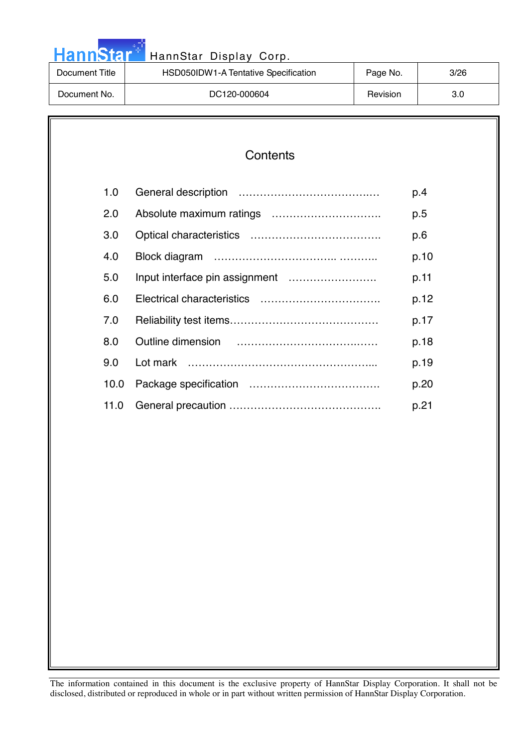| <b>HannStar</b> *<br>HannStar Display Corp. |                                      |          |      |  |  |  |
|---------------------------------------------|--------------------------------------|----------|------|--|--|--|
| Document Title                              | HSD050IDW1-A Tentative Specification | Page No. | 3/26 |  |  |  |
| Document No.                                | DC120-000604                         | Revision | 3.0  |  |  |  |

واو ر

#### **Contents**

| 1.0  | p.4  |
|------|------|
| 2.0  | p.5  |
| 3.0  | p.6  |
| 4.0  | p.10 |
| 5.0  | p.11 |
| 6.0  | p.12 |
| 7.0  | p.17 |
| 8.0  | p.18 |
| 9.0  | p.19 |
| 10.0 | p.20 |
| 11.0 | p.21 |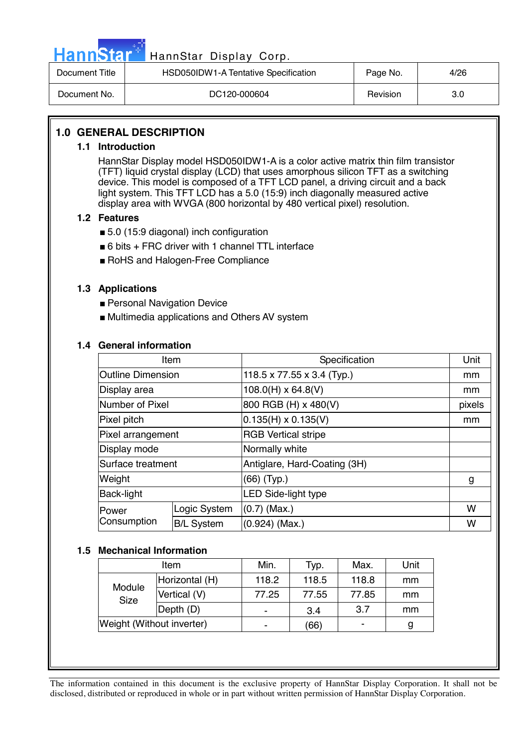

# Hann Star<sup>47</sup> HannStar Display Corp.

| Document Title | HSD050IDW1-A Tentative Specification | Page No. | 4/26 |
|----------------|--------------------------------------|----------|------|
| Document No.   | DC120-000604                         | Revision | 3.0  |

#### **1.0 GENERAL DESCRIPTION**

#### **1.1 Introduction**

HannStar Display model HSD050IDW1-A is a color active matrix thin film transistor (TFT) liquid crystal display (LCD) that uses amorphous silicon TFT as a switching device. This model is composed of a TFT LCD panel, a driving circuit and a back light system. This TFT LCD has a 5.0 (15:9) inch diagonally measured active display area with WVGA (800 horizontal by 480 vertical pixel) resolution.

#### **1.2 Features**

- 5.0 (15:9 diagonal) inch configuration
- 6 bits + FRC driver with 1 channel TTL interface
- RoHS and Halogen-Free Compliance

#### **1.3 Applications**

- Personal Navigation Device
- Multimedia applications and Others AV system

#### **1.4 General information**

| Item                     |                   | Specification                | Unit   |
|--------------------------|-------------------|------------------------------|--------|
| <b>Outline Dimension</b> |                   | 118.5 x 77.55 x 3.4 (Typ.)   | mm     |
| Display area             |                   | $108.0(H) \times 64.8(V)$    | mm     |
| Number of Pixel          |                   | 800 RGB (H) x 480(V)         | pixels |
| Pixel pitch              |                   | $0.135(H) \times 0.135(V)$   | mm     |
| Pixel arrangement        |                   | <b>RGB Vertical stripe</b>   |        |
| Display mode             |                   | Normally white               |        |
| Surface treatment        |                   | Antiglare, Hard-Coating (3H) |        |
| Weight                   |                   | (66) (Typ.)                  | g      |
| Back-light               |                   | LED Side-light type          |        |
| lPower                   | Logic System      | $(0.7)$ (Max.)               | W      |
| Consumption              | <b>B/L System</b> | $(0.924)$ (Max.)             | W      |

#### **1.5 Mechanical Information**

| Item                      |                          | Min.  | Typ.  | Max.  | Unit |
|---------------------------|--------------------------|-------|-------|-------|------|
| Module<br>Size            | Horizontal (H)           | 118.2 | 118.5 | 118.8 | mm   |
|                           | Vertical (V)             | 77.25 | 77.55 | 77.85 | mm   |
|                           | $\vert$ Depth $\vert$ D) |       | 3.4   | 3.7   | mm   |
| Weight (Without inverter) |                          |       | (66)  |       | g    |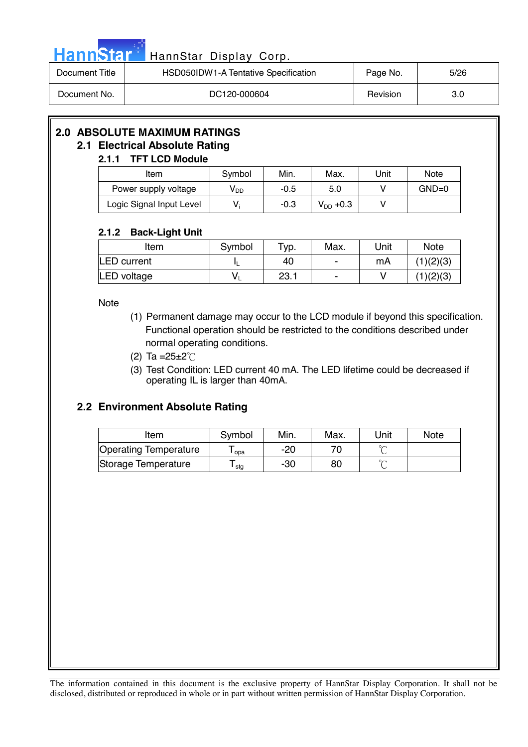|  |  | <b>HannStar</b> |  |
|--|--|-----------------|--|
|  |  |                 |  |
|  |  |                 |  |

#### HannStar Display Corp.

| Document Title | HSD050IDW1-A Tentative Specification | Page No. | 5/26 |
|----------------|--------------------------------------|----------|------|
| Document No.   | DC120-000604                         | Revision | 3.0  |

### **2.0 ABSOLUTE MAXIMUM RATINGS**

#### **2.1 Electrical Absolute Rating**

#### **2.1.1 TFT LCD Module**

| Item                     | Symbol          | Min.   | Max.          | Unit | <b>Note</b> |
|--------------------------|-----------------|--------|---------------|------|-------------|
| Power supply voltage     | V <sub>DD</sub> | $-0.5$ | 5.0           |      | $GND=0$     |
| Logic Signal Input Level | V.              | $-0.3$ | $V_{DD}$ +0.3 |      |             |

#### **2.1.2 Back-Light Unit**

| Item               | Symbol | $\tau_{\text{VP}}$ . | Max.           | Unit | <b>Note</b> |
|--------------------|--------|----------------------|----------------|------|-------------|
| <b>LED</b> current |        | 40                   | $\blacksquare$ | mA   | (1)(2)(3)   |
| LED voltage        |        | 23.1                 |                |      | (1)(2)(3)   |

Note

- (1) Permanent damage may occur to the LCD module if beyond this specification. Functional operation should be restricted to the conditions described under normal operating conditions.
- (2) Ta =  $25 \pm 2^{\circ}$  C
- (3) Test Condition: LED current 40 mA. The LED lifetime could be decreased if operating IL is larger than 40mA.

#### **2.2 Environment Absolute Rating**

| Item                         | Symbol | Min. | Max. | Unit | <b>Note</b> |
|------------------------------|--------|------|------|------|-------------|
| <b>Operating Temperature</b> | opa    | -20  |      |      |             |
| Storage Temperature          | stg    | -30  | 80   |      |             |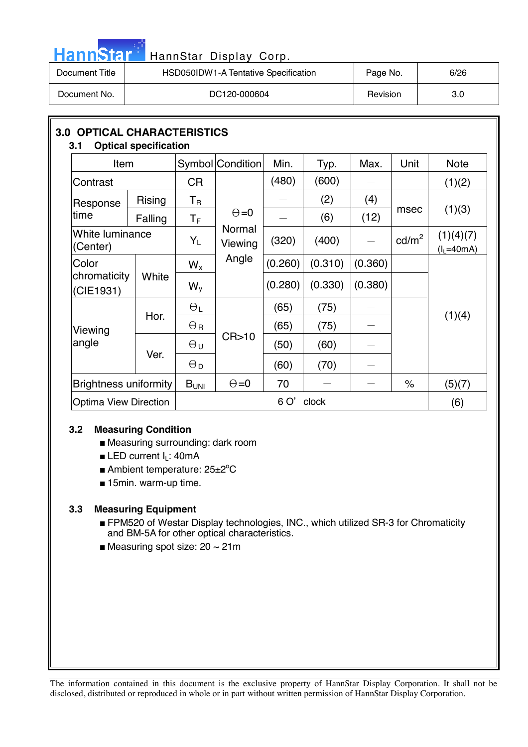| HannStar*l     | HannStar Display Corp.               |          |      |
|----------------|--------------------------------------|----------|------|
| Document Title | HSD050IDW1-A Tentative Specification | Page No. | 6/26 |
| Document No.   | DC120-000604                         | Revision | 3.0  |

| <b>OPTICAL CHARACTERISTICS</b><br>3.0 <sub>2</sub><br><b>Optical specification</b><br>3.1 |               |                         |                   |         |         |         |                   |                          |  |
|-------------------------------------------------------------------------------------------|---------------|-------------------------|-------------------|---------|---------|---------|-------------------|--------------------------|--|
| <b>Item</b>                                                                               |               |                         | Symbol Condition  | Min.    | Typ.    | Max.    | Unit              | <b>Note</b>              |  |
| Contrast                                                                                  |               | <b>CR</b>               |                   | (480)   | (600)   |         |                   | (1)(2)                   |  |
| Response                                                                                  | <b>Rising</b> | $T_{\mathsf{R}}$        |                   |         | (2)     | (4)     |                   |                          |  |
| time                                                                                      | Falling       | $\mathsf T_{\mathsf F}$ | $\Theta = 0$      |         | (6)     | (12)    | msec              | (1)(3)                   |  |
| White luminance<br>(Center)                                                               |               | $Y_L$                   | Normal<br>Viewing | (320)   | (400)   |         | cd/m <sup>2</sup> | (1)(4)(7)<br>$(lL=40mA)$ |  |
| Color                                                                                     |               |                         | Angle             | (0.260) | (0.310) | (0.360) |                   |                          |  |
| chromaticity<br>(CIE1931)                                                                 | White         | $W_{V}$                 |                   | (0.280) | (0.330) | (0.380) |                   |                          |  |
|                                                                                           | Hor.          | $\Theta_L$              |                   | (65)    | (75)    |         |                   |                          |  |
| Viewing                                                                                   |               | $\Theta_{\rm R}$        |                   | (65)    | (75)    |         |                   | (1)(4)                   |  |
| angle                                                                                     | Ver.          | $\Theta$ u              | CR > 10           | (50)    | (60)    |         |                   |                          |  |
|                                                                                           |               | $\Theta_{\rm D}$        |                   | (60)    | (70)    |         |                   |                          |  |
| $\Theta = 0$<br><b>Brightness uniformity</b><br>B <sub>UNI</sub>                          |               |                         |                   | 70      |         |         | $\%$              | (5)(7)                   |  |
| <b>Optima View Direction</b>                                                              |               | 6 O'<br>clock           |                   |         |         |         |                   | (6)                      |  |

#### **3.2 Measuring Condition**

- Measuring surrounding: dark room
- $\blacksquare$  **LED current I<sub>L</sub>: 40mA**
- Ambient temperature: 25±2°C
- 15min. warm-up time.

#### **3.3 Measuring Equipment**

- FPM520 of Westar Display technologies, INC., which utilized SR-3 for Chromaticity and BM-5A for other optical characteristics.
- Measuring spot size:  $20 \sim 21$ m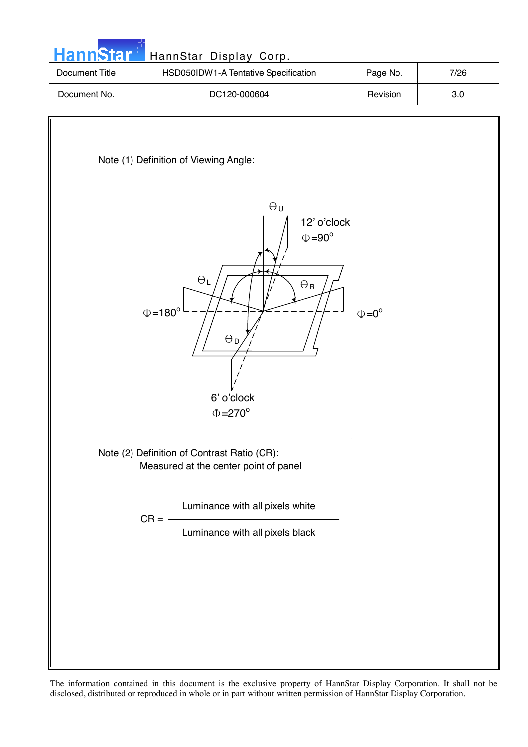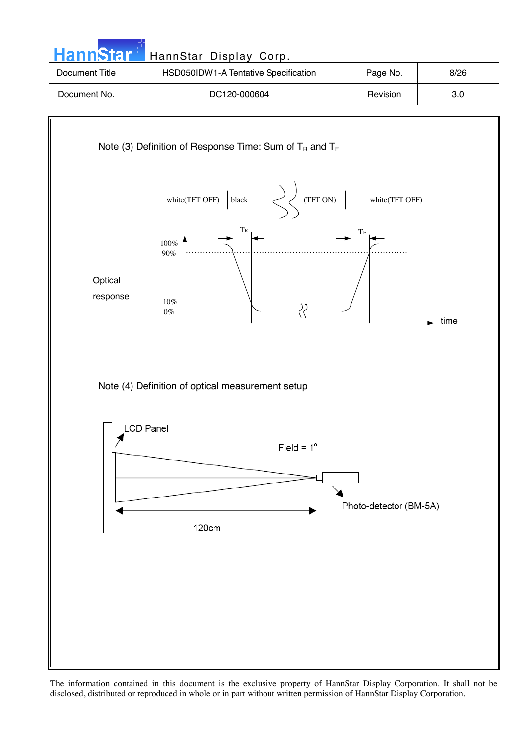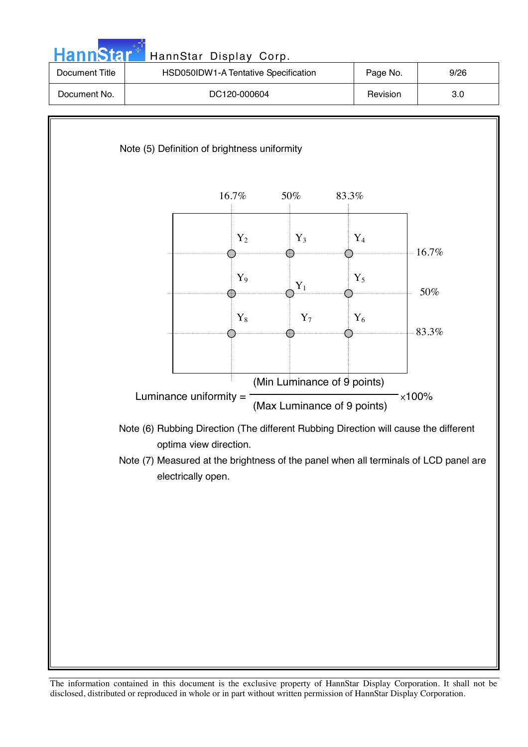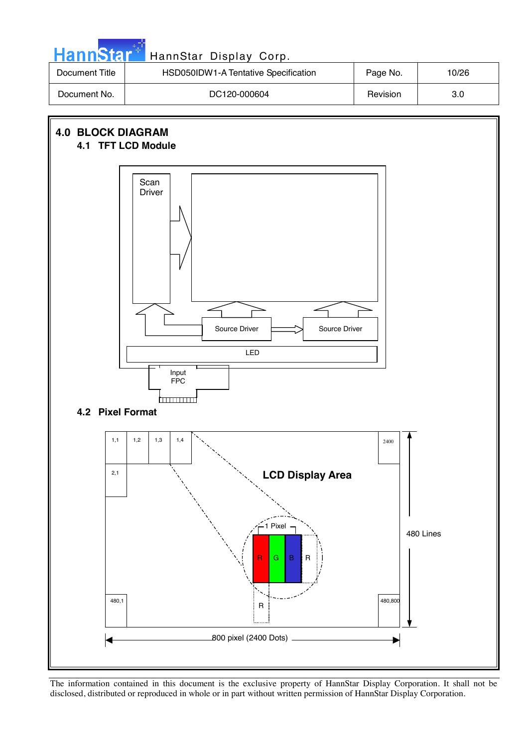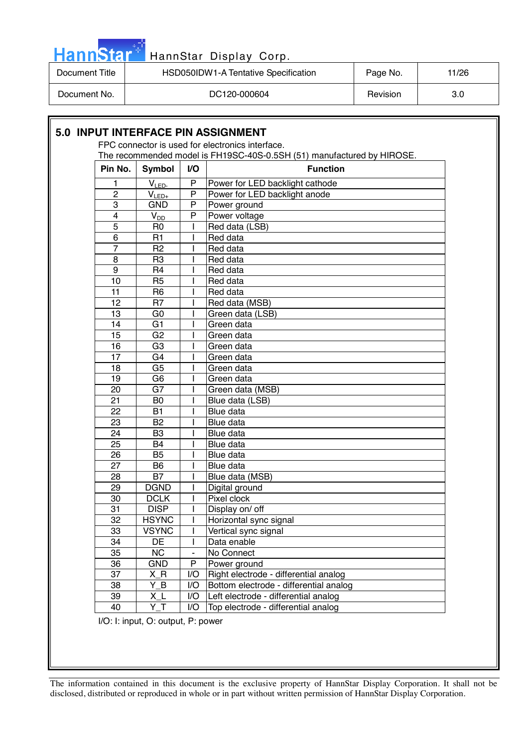| HannStar <sup>+</sup> | HannStar Display Corp.               |          |       |
|-----------------------|--------------------------------------|----------|-------|
| Document Title        | HSD050IDW1-A Tentative Specification | Page No. | 11/26 |
| Document No.          | DC120-000604                         | Revision | 3.0   |

|                |                |                | The recommended model is FH19SC-40S-0.5SH (51) manufactured by HIROSE. |  |
|----------------|----------------|----------------|------------------------------------------------------------------------|--|
| Pin No.        | Symbol         | V <sub>O</sub> | <b>Function</b>                                                        |  |
| 1              | $V_{LED}$      | $\mathsf{P}$   | Power for LED backlight cathode                                        |  |
| $\overline{2}$ | $V_{LED+}$     | P              | Power for LED backlight anode                                          |  |
| 3              | <b>GND</b>     | P              | Power ground                                                           |  |
| $\overline{4}$ | $V_{DD}$       | P              | Power voltage                                                          |  |
| 5              | R <sub>0</sub> |                | Red data (LSB)                                                         |  |
| 6              | R <sub>1</sub> |                | Red data                                                               |  |
| $\overline{7}$ | R <sub>2</sub> |                | Red data                                                               |  |
| 8              | R <sub>3</sub> |                | Red data                                                               |  |
| 9              | R4             |                | Red data                                                               |  |
| 10             | R <sub>5</sub> |                | Red data                                                               |  |
| 11             | R <sub>6</sub> |                | Red data                                                               |  |
| 12             | R <sub>7</sub> |                | Red data (MSB)                                                         |  |
| 13             | G <sub>0</sub> |                | Green data (LSB)                                                       |  |
| 14             | G <sub>1</sub> |                | Green data                                                             |  |
| 15             | G <sub>2</sub> |                | Green data                                                             |  |
| 16             | G <sub>3</sub> |                | Green data                                                             |  |
| 17             | G <sub>4</sub> |                | Green data                                                             |  |
| 18             | G <sub>5</sub> |                | Green data                                                             |  |
| 19             | G <sub>6</sub> |                | Green data                                                             |  |
| 20             | G7             |                | Green data (MSB)                                                       |  |
| 21             | B <sub>0</sub> |                | Blue data (LSB)                                                        |  |
| 22             | <b>B1</b>      |                | Blue data                                                              |  |
| 23             | B <sub>2</sub> |                | Blue data                                                              |  |
| 24             | B <sub>3</sub> |                | Blue data                                                              |  |
| 25             | <b>B4</b>      |                | Blue data                                                              |  |
| 26             | B <sub>5</sub> |                | Blue data                                                              |  |
| 27             | B <sub>6</sub> |                | Blue data                                                              |  |
| 28             | <b>B7</b>      |                | Blue data (MSB)                                                        |  |
| 29             | <b>DGND</b>    |                | Digital ground                                                         |  |
| 30             | <b>DCLK</b>    |                | Pixel clock                                                            |  |
| 31             | <b>DISP</b>    |                | Display on/ off                                                        |  |
| 32             | <b>HSYNC</b>   |                | Horizontal sync signal                                                 |  |
| 33             | <b>VSYNC</b>   |                | Vertical sync signal                                                   |  |
| 34             | DE             |                | Data enable                                                            |  |
| 35             | <b>NC</b>      |                | No Connect                                                             |  |
| 36             | <b>GND</b>     | P              | Power ground                                                           |  |
| 37             | $X_R$          | I/O            | Right electrode - differential analog                                  |  |
| 38             | Y B            | I/O            | Bottom electrode - differential analog                                 |  |
| 39             | $X_L$          | I/O            | Left electrode - differential analog                                   |  |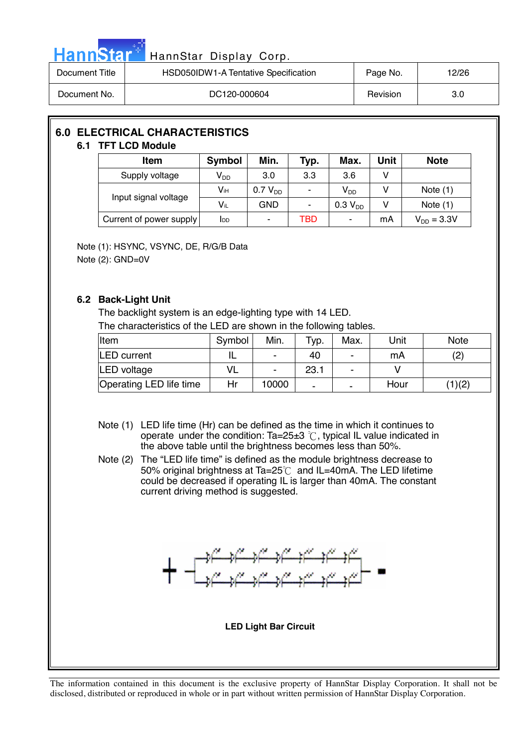| ann | <b>ANT</b> |  |
|-----|------------|--|
|     |            |  |

#### HannStar Display Corp.

| Document Title | HSD050IDW1-A Tentative Specification | Page No. | 12/26 |
|----------------|--------------------------------------|----------|-------|
| Document No.   | DC120-000604                         | Revision | 3.0   |

## **6.0 ELECTRICAL CHARACTERISTICS**

#### **6.1 TFT LCD Module**

| Item                    | Symbol      | Min.         | Typ. | Max.                       | Unit | <b>Note</b>     |
|-------------------------|-------------|--------------|------|----------------------------|------|-----------------|
| Supply voltage          | $V_{DD}$    | 3.0          | 3.3  | 3.6                        | v    |                 |
|                         | Vін         | $0.7 V_{DD}$ | ۰    | $\mathsf{V}_{\mathsf{DD}}$ |      | Note $(1)$      |
| Input signal voltage    | $V_{iL}$    | GND          | ۰    | 0.3 V <sub>DD</sub>        |      | Note $(1)$      |
| Current of power supply | <b>I</b> DD | ٠            | TBD  | ۰                          | mA   | $V_{DD} = 3.3V$ |

Note (1): HSYNC, VSYNC, DE, R/G/B Data Note (2): GND=0V

#### **6.2 Back-Light Unit**

The backlight system is an edge-lighting type with 14 LED. The characteristics of the LED are shown in the following tables.

| Item                    | Symbol | Min.  | Typ. | Max. | Unit | <b>Note</b> |
|-------------------------|--------|-------|------|------|------|-------------|
| <b>LED</b> current      |        |       | 40   | ۰    | mA   | (2)         |
| <b>LED</b> voltage      | VL     |       | 23.1 | ۰    |      |             |
| Operating LED life time | Hr     | 10000 | -    | -    | Hour | (1)(2)      |

- Note (1) LED life time (Hr) can be defined as the time in which it continues to operate under the condition:  $Ta=25\pm3$  °C, typical IL value indicated in the above table until the brightness becomes less than 50%.
- Note (2) The "LED life time" is defined as the module brightness decrease to 50% original brightness at Ta=25 $\degree$ C and IL=40mA. The LED lifetime could be decreased if operating IL is larger than 40mA. The constant current driving method is suggested.



**LED Light Bar Circuit**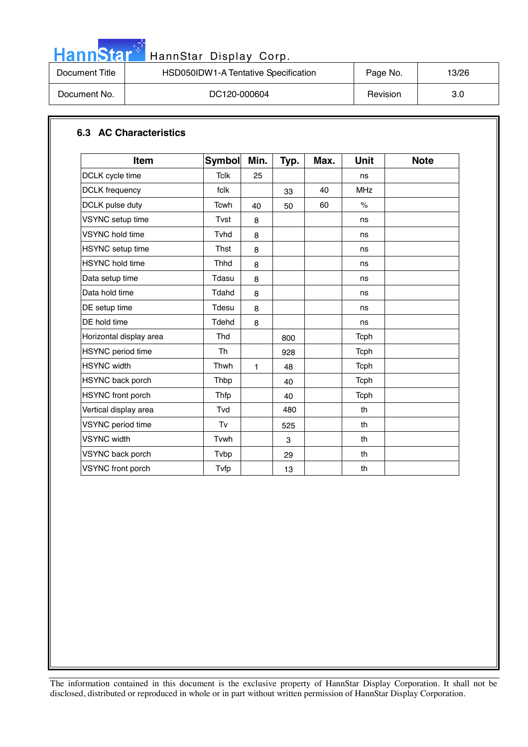|--|

### HannStar Display Corp.

| Document Title | HSD050IDW1-A Tentative Specification | Page No. | 13/26 |
|----------------|--------------------------------------|----------|-------|
| Document No.   | DC120-000604                         | Revision | 3.0   |

#### **6.3 AC Characteristics**

| <b>Item</b>              | <b>Symbol</b> | Min. | Typ. | Max. | <b>Unit</b>          | <b>Note</b> |
|--------------------------|---------------|------|------|------|----------------------|-------------|
| DCLK cycle time          | <b>Tclk</b>   | 25   |      |      | ns                   |             |
| <b>DCLK</b> frequency    | fclk          |      | 33   | 40   | <b>MHz</b>           |             |
| DCLK pulse duty          | Tcwh          | 40   | 50   | 60   | $\frac{1}{\sqrt{2}}$ |             |
| VSYNC setup time         | Tvst          | 8    |      |      | ns                   |             |
| <b>VSYNC</b> hold time   | Tvhd          | 8    |      |      | ns                   |             |
| HSYNC setup time         | <b>Thst</b>   | 8    |      |      | ns                   |             |
| <b>HSYNC</b> hold time   | <b>Thhd</b>   | 8    |      |      | ns                   |             |
| Data setup time          | Tdasu         | 8    |      |      | ns                   |             |
| Data hold time           | Tdahd         | 8    |      |      | ns                   |             |
| DE setup time            | Tdesu         | 8    |      |      | ns                   |             |
| DE hold time             | Tdehd         | 8    |      |      | ns                   |             |
| Horizontal display area  | Thd           |      | 800  |      | <b>Tcph</b>          |             |
| <b>HSYNC</b> period time | Th            |      | 928  |      | Tcph                 |             |
| <b>HSYNC</b> width       | Thwh          | 1    | 48   |      | Tcph                 |             |
| HSYNC back porch         | Thbp          |      | 40   |      | Tcph                 |             |
| HSYNC front porch        | Thfp          |      | 40   |      | <b>Tcph</b>          |             |
| Vertical display area    | Tvd           |      | 480  |      | th                   |             |
| VSYNC period time        | Tv            |      | 525  |      | th                   |             |
| <b>VSYNC</b> width       | Tvwh          |      | 3    |      | th                   |             |
| VSYNC back porch         | Tvbp          |      | 29   |      | th                   |             |
| <b>VSYNC</b> front porch | Tvfp          |      | 13   |      | th                   |             |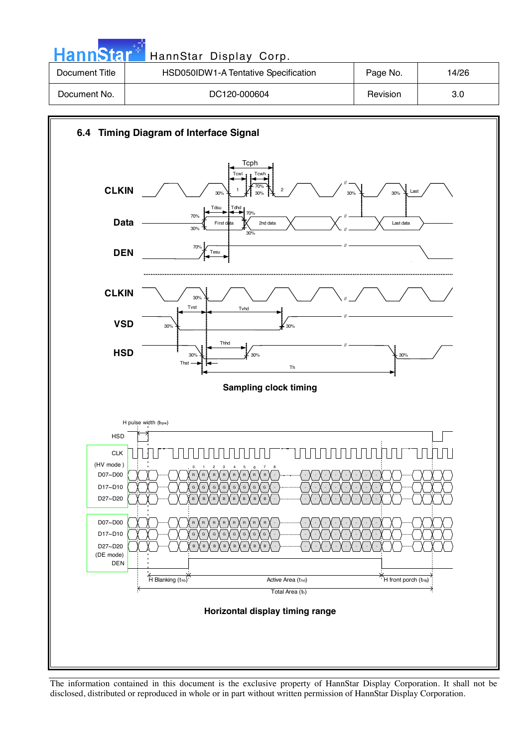| <b>HannStar<sup>*</sup></b> | HannStar Display Corp.               |          |       |
|-----------------------------|--------------------------------------|----------|-------|
| Document Title              | HSD050IDW1-A Tentative Specification | Page No. | 14/26 |
| Document No.                | DC120-000604                         | Revision | 3.0   |



The information contained in this document is the exclusive property of HannStar Display Corporation. It shall not be disclosed, distributed or reproduced in whole or in part without written permission of HannStar Display Corporation.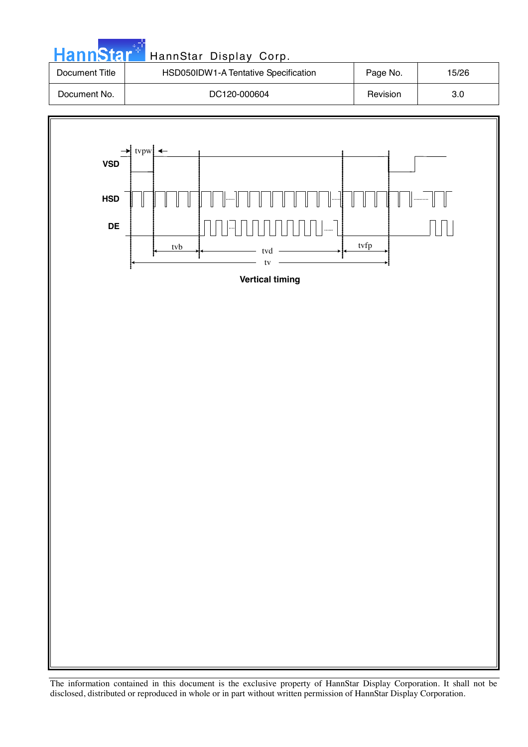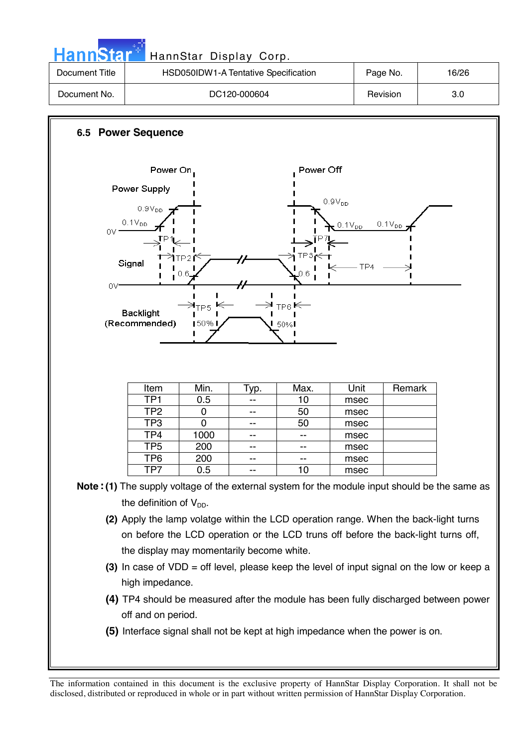| HannStar                                                                                     |                                                                                     | HannStar Display Corp.               |              |            |                                                                                      |             |                                                                                                |
|----------------------------------------------------------------------------------------------|-------------------------------------------------------------------------------------|--------------------------------------|--------------|------------|--------------------------------------------------------------------------------------|-------------|------------------------------------------------------------------------------------------------|
| <b>Document Title</b>                                                                        |                                                                                     | HSD050IDW1-A Tentative Specification |              |            |                                                                                      | Page No.    | 16/26                                                                                          |
| Document No.                                                                                 |                                                                                     |                                      | DC120-000604 |            |                                                                                      | Revision    | 3.0                                                                                            |
|                                                                                              |                                                                                     |                                      |              |            |                                                                                      |             |                                                                                                |
|                                                                                              | <b>6.5 Power Sequence</b>                                                           |                                      |              |            |                                                                                      |             |                                                                                                |
|                                                                                              | Power On                                                                            |                                      |              | Power Off  |                                                                                      |             |                                                                                                |
|                                                                                              | Power Supply                                                                        |                                      |              |            |                                                                                      |             |                                                                                                |
|                                                                                              | $0.9V_{DD}$                                                                         |                                      |              |            | $0.9V_{DD}$                                                                          |             |                                                                                                |
|                                                                                              | $0.1V_{DD}$                                                                         |                                      |              |            | $0.1V_{DD}$                                                                          | $0.1V_{DD}$ |                                                                                                |
| OV.                                                                                          |                                                                                     |                                      |              |            |                                                                                      |             |                                                                                                |
|                                                                                              |                                                                                     | TP2 I                                |              | $TP3 \leq$ |                                                                                      |             |                                                                                                |
|                                                                                              | Signal                                                                              | 0.6                                  |              | 0.6        | TP4                                                                                  |             |                                                                                                |
| 0V-                                                                                          |                                                                                     |                                      |              |            |                                                                                      |             |                                                                                                |
|                                                                                              |                                                                                     |                                      |              |            |                                                                                      |             |                                                                                                |
|                                                                                              | <b>Backlight</b>                                                                    | ⋺ <sub>≀р5</sub>                     |              | $TP6 \in$  |                                                                                      |             |                                                                                                |
|                                                                                              | (Recommended)                                                                       | $150\%$ I                            |              | 50%        |                                                                                      |             |                                                                                                |
|                                                                                              |                                                                                     |                                      |              |            |                                                                                      |             |                                                                                                |
|                                                                                              |                                                                                     |                                      |              |            |                                                                                      |             |                                                                                                |
|                                                                                              |                                                                                     |                                      |              |            |                                                                                      |             |                                                                                                |
|                                                                                              | Item                                                                                | Min.                                 | Typ.         | Max.       | Unit                                                                                 | Remark      |                                                                                                |
|                                                                                              | TP <sub>1</sub>                                                                     | 0.5                                  | --           | 10         | msec                                                                                 |             |                                                                                                |
|                                                                                              | TP <sub>2</sub>                                                                     | 0                                    | --           | 50         | msec                                                                                 |             |                                                                                                |
|                                                                                              | TP <sub>3</sub><br>TP4                                                              | 0<br>1000                            | --           | 50         | msec                                                                                 |             |                                                                                                |
|                                                                                              | TP <sub>5</sub>                                                                     | 200                                  | --           | --         | msec<br>msec                                                                         |             |                                                                                                |
|                                                                                              | TP <sub>6</sub>                                                                     | 200                                  |              |            | msec                                                                                 |             |                                                                                                |
|                                                                                              | TP7                                                                                 | 0.5                                  |              | 10         | msec                                                                                 |             |                                                                                                |
|                                                                                              |                                                                                     |                                      |              |            |                                                                                      |             | Note: (1) The supply voltage of the external system for the module input should be the same as |
|                                                                                              |                                                                                     |                                      |              |            |                                                                                      |             |                                                                                                |
|                                                                                              | the definition of $V_{DD}$ .                                                        |                                      |              |            |                                                                                      |             |                                                                                                |
|                                                                                              |                                                                                     |                                      |              |            | (2) Apply the lamp volatge within the LCD operation range. When the back-light turns |             |                                                                                                |
|                                                                                              |                                                                                     |                                      |              |            | on before the LCD operation or the LCD truns off before the back-light turns off,    |             |                                                                                                |
|                                                                                              | the display may momentarily become white.                                           |                                      |              |            |                                                                                      |             |                                                                                                |
| (3) In case of $VDD =$ off level, please keep the level of input signal on the low or keep a |                                                                                     |                                      |              |            |                                                                                      |             |                                                                                                |
|                                                                                              | high impedance.                                                                     |                                      |              |            |                                                                                      |             |                                                                                                |
|                                                                                              | (4) TP4 should be measured after the module has been fully discharged between power |                                      |              |            |                                                                                      |             |                                                                                                |
|                                                                                              |                                                                                     |                                      |              |            |                                                                                      |             |                                                                                                |
|                                                                                              | off and on period.                                                                  |                                      |              |            |                                                                                      |             |                                                                                                |
|                                                                                              | (5) Interface signal shall not be kept at high impedance when the power is on.      |                                      |              |            |                                                                                      |             |                                                                                                |
|                                                                                              |                                                                                     |                                      |              |            |                                                                                      |             |                                                                                                |
|                                                                                              |                                                                                     |                                      |              |            |                                                                                      |             |                                                                                                |

n.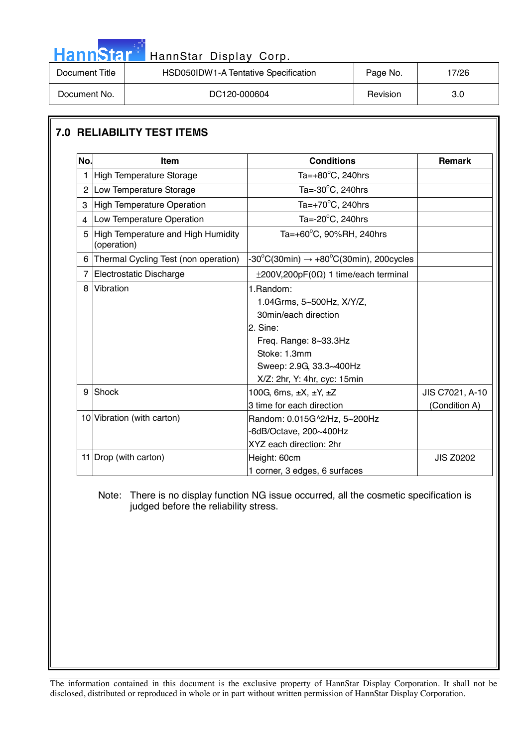| HannStar <sup>*</sup> | HannStar Display Corp.               |          |       |
|-----------------------|--------------------------------------|----------|-------|
| Document Title        | HSD050IDW1-A Tentative Specification | Page No. | 17/26 |
| Document No.          | DC120-000604                         | Revision | 3.0   |

## **7.0 RELIABILITY TEST ITEMS**

**COL** 

| No.            | <b>Item</b>                                       | <b>Conditions</b>                                                                                                                                                                               | <b>Remark</b>                    |
|----------------|---------------------------------------------------|-------------------------------------------------------------------------------------------------------------------------------------------------------------------------------------------------|----------------------------------|
| 1              | High Temperature Storage                          | Ta= $+80^{\circ}$ C, 240hrs                                                                                                                                                                     |                                  |
| $\overline{2}$ | Low Temperature Storage                           | Ta= $-30^{\circ}$ C, 240hrs                                                                                                                                                                     |                                  |
| 3              | High Temperature Operation                        | Ta= $+70^{\circ}$ C, 240hrs                                                                                                                                                                     |                                  |
| $\overline{4}$ | Low Temperature Operation                         | Ta= $-20^{\circ}$ C, 240hrs                                                                                                                                                                     |                                  |
| 5              | High Temperature and High Humidity<br>(operation) | Ta=+60°C, 90%RH, 240hrs                                                                                                                                                                         |                                  |
| 6              | Thermal Cycling Test (non operation)              | $-30^{\circ}$ C(30min) $\rightarrow +80^{\circ}$ C(30min), 200cycles                                                                                                                            |                                  |
| $\overline{7}$ | Electrostatic Discharge                           | $\pm 200V, 200pF(0\Omega)$ 1 time/each terminal                                                                                                                                                 |                                  |
| 8              | Vibration                                         | 1. Random:<br>1.04Grms, 5~500Hz, X/Y/Z,<br>30min/each direction<br>2. Sine:<br>Freq. Range: $8\text{-}33.3\text{Hz}$<br>Stoke: 1.3mm<br>Sweep: 2.9G, 33.3~400Hz<br>X/Z: 2hr, Y: 4hr, cyc: 15min |                                  |
| 9              | Shock                                             | 100G, 6ms, $\pm X$ , $\pm Y$ , $\pm Z$<br>3 time for each direction                                                                                                                             | JIS C7021, A-10<br>(Condition A) |
|                | 10 Vibration (with carton)                        | Random: 0.015G^2/Hz, 5~200Hz<br>-6dB/Octave, 200~400Hz<br>XYZ each direction: 2hr                                                                                                               |                                  |
|                | 11 Drop (with carton)                             | Height: 60cm<br>1 corner, 3 edges, 6 surfaces                                                                                                                                                   | <b>JIS Z0202</b>                 |

 Note: There is no display function NG issue occurred, all the cosmetic specification is judged before the reliability stress.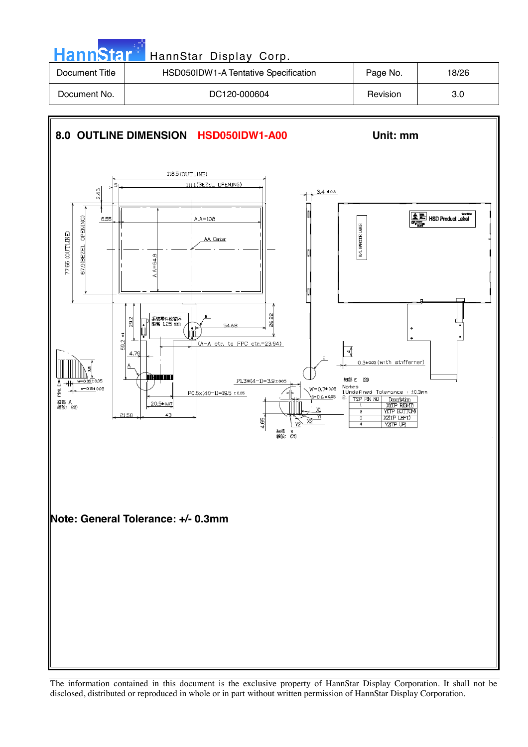| HannStar <sup>+</sup> | HannStar Display Corp.               |          |       |
|-----------------------|--------------------------------------|----------|-------|
| Document Title        | HSD050IDW1-A Tentative Specification | Page No. | 18/26 |
| Document No.          | DC120-000604                         | Revision | 3.0   |

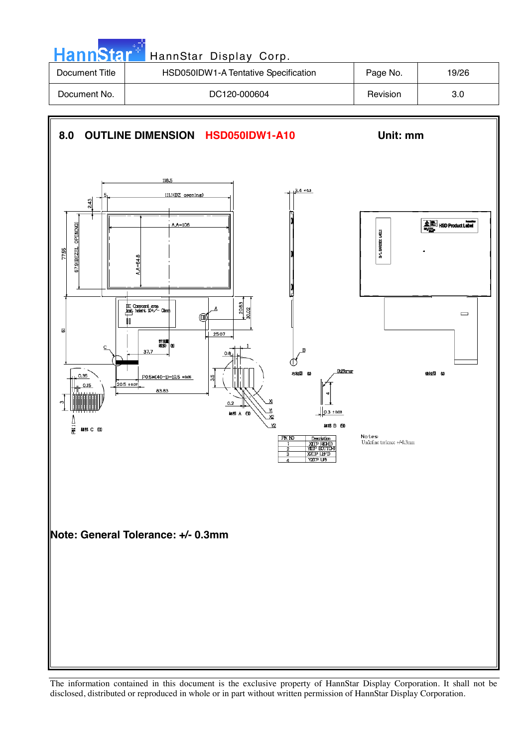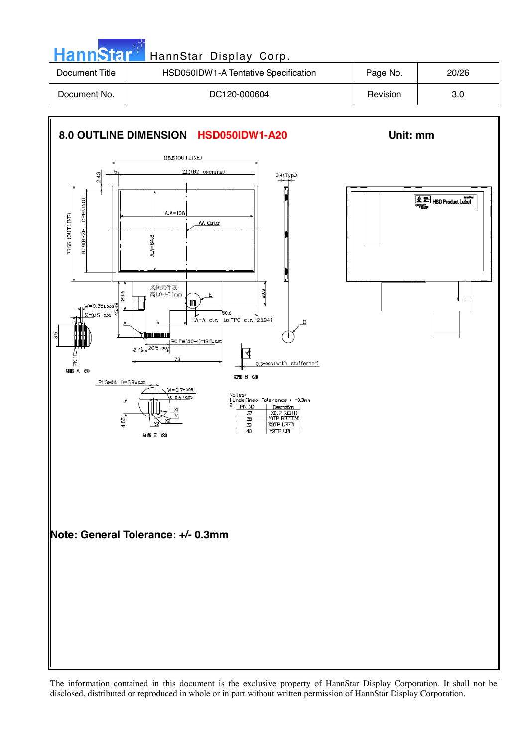| <b>HannStar</b> | HannStar Display Corp.               |          |       |
|-----------------|--------------------------------------|----------|-------|
| Document Title  | HSD050IDW1-A Tentative Specification | Page No. | 20/26 |
| Document No.    | DC120-000604                         | Revision | 3.0   |
|                 |                                      |          |       |

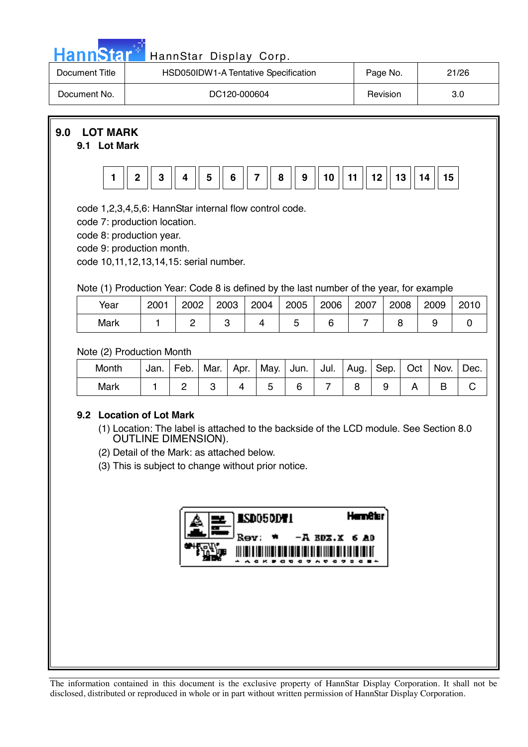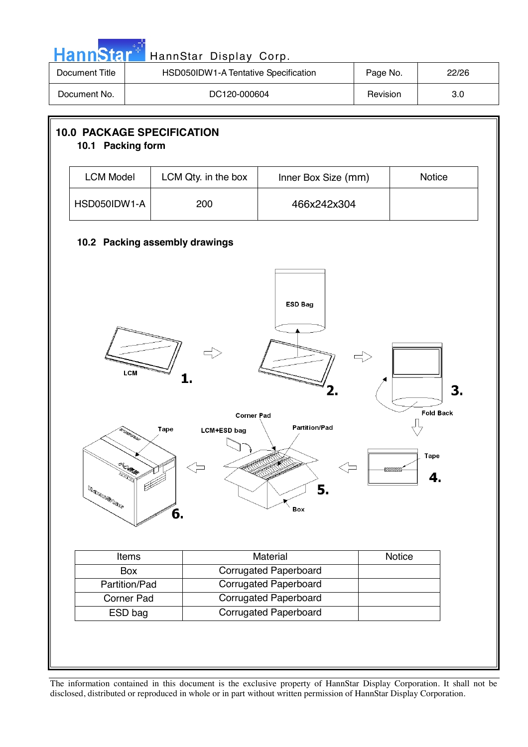| <b>Document Title</b>                                  |               | HSD050IDW1-A Tentative Specification |                                                              | Page No. |        | 22/26                  |
|--------------------------------------------------------|---------------|--------------------------------------|--------------------------------------------------------------|----------|--------|------------------------|
| Document No.                                           |               | DC120-000604                         |                                                              | Revision |        | 3.0                    |
| <b>10.0 PACKAGE SPECIFICATION</b><br>10.1 Packing form |               |                                      |                                                              |          |        |                        |
| <b>LCM Model</b>                                       |               | LCM Qty. in the box                  | Inner Box Size (mm)                                          |          |        | Notice                 |
| HSD050IDW1-A                                           |               | 200                                  | 466x242x304                                                  |          |        |                        |
|                                                        |               | 10.2 Packing assembly drawings       |                                                              |          |        |                        |
|                                                        | <b>LCM</b>    | 1.<br><b>Corner Pad</b>              | <b>ESD Bag</b><br>2.                                         |          |        | 3.<br><b>Fold Back</b> |
|                                                        | L. March      | Tape<br><b>LCM+ESD</b> bag<br>6.     | <b>Partition/Pad</b><br>7.<br>5.<br>Box                      |          |        | <b>Tape</b><br>4.      |
|                                                        |               |                                      |                                                              |          | Notice |                        |
|                                                        | Items         |                                      | Material                                                     |          |        |                        |
|                                                        | Box           |                                      | <b>Corrugated Paperboard</b>                                 |          |        |                        |
|                                                        | Partition/Pad |                                      | <b>Corrugated Paperboard</b>                                 |          |        |                        |
|                                                        | Corner Pad    |                                      | <b>Corrugated Paperboard</b><br><b>Corrugated Paperboard</b> |          |        |                        |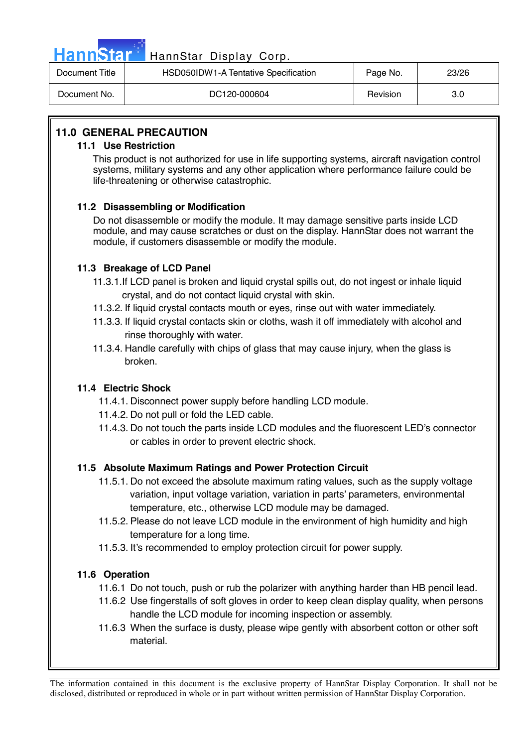

# Hann Star<sup>47</sup> HannStar Display Corp.

| Document Title | HSD050IDW1-A Tentative Specification | Page No. | 23/26 |
|----------------|--------------------------------------|----------|-------|
| Document No.   | DC120-000604                         | Revision | 3.0   |

#### **11.0 GENERAL PRECAUTION**

#### **11.1 Use Restriction**

This product is not authorized for use in life supporting systems, aircraft navigation control systems, military systems and any other application where performance failure could be life-threatening or otherwise catastrophic.

#### **11.2 Disassembling or Modification**

 Do not disassemble or modify the module. It may damage sensitive parts inside LCD module, and may cause scratches or dust on the display. HannStar does not warrant the module, if customers disassemble or modify the module.

#### **11.3 Breakage of LCD Panel**

- 11.3.1.If LCD panel is broken and liquid crystal spills out, do not ingest or inhale liquid crystal, and do not contact liquid crystal with skin.
- 11.3.2. If liquid crystal contacts mouth or eyes, rinse out with water immediately.
- 11.3.3. If liquid crystal contacts skin or cloths, wash it off immediately with alcohol and rinse thoroughly with water.
- 11.3.4. Handle carefully with chips of glass that may cause injury, when the glass is broken.

#### **11.4 Electric Shock**

- 11.4.1. Disconnect power supply before handling LCD module.
- 11.4.2. Do not pull or fold the LED cable.
- 11.4.3. Do not touch the parts inside LCD modules and the fluorescent LED's connector or cables in order to prevent electric shock.

#### **11.5 Absolute Maximum Ratings and Power Protection Circuit**

- 11.5.1. Do not exceed the absolute maximum rating values, such as the supply voltage variation, input voltage variation, variation in parts' parameters, environmental temperature, etc., otherwise LCD module may be damaged.
- 11.5.2. Please do not leave LCD module in the environment of high humidity and high temperature for a long time.
- 11.5.3. It's recommended to employ protection circuit for power supply.

#### **11.6 Operation**

- 11.6.1 Do not touch, push or rub the polarizer with anything harder than HB pencil lead.
- 11.6.2 Use fingerstalls of soft gloves in order to keep clean display quality, when persons handle the LCD module for incoming inspection or assembly.
- 11.6.3 When the surface is dusty, please wipe gently with absorbent cotton or other soft material.